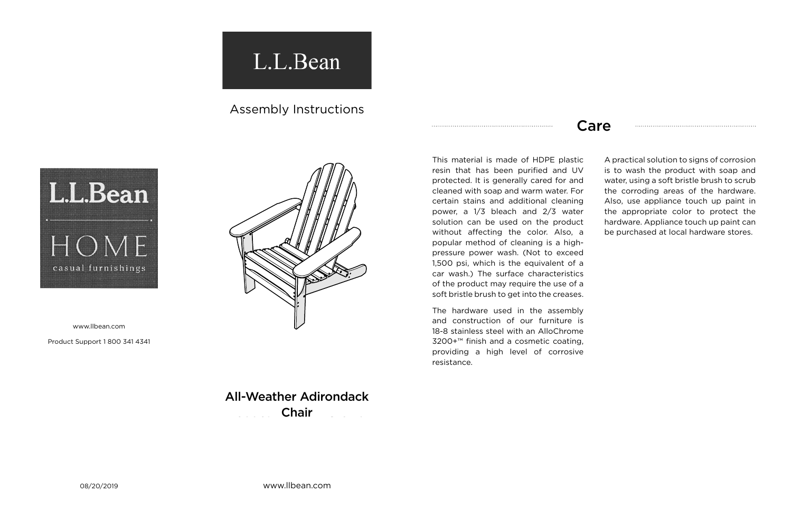## L.L.Bean

## Assembly Instructions



www.llbean.com

Product Support 1 800 341 4341

## Care

This material is made of HDPE plastic resin that has been purified and UV protected. It is generally cared for and cleaned with soap and warm water. For certain stains and additional cleaning power, a 1/3 bleach and 2/3 water solution can be used on the product without affecting the color. Also, a popular method of cleaning is a highpressure power wash. (Not to exceed 1,500 psi, which is the equivalent of a car wash.) The surface characteristics of the product may require the use of a soft bristle brush to get into the creases.

**Product Name & Chair** All-Weather Adirondack

The hardware used in the assembly and construction of our furniture is 18-8 stainless steel with an AlloChrome 3200+™ finish and a cosmetic coating, providing a high level of corrosive resistance.

A practical solution to signs of corrosion is to wash the product with soap and water, using a soft bristle brush to scrub the corroding areas of the hardware. Also, use appliance touch up paint in the appropriate color to protect the hardware. Appliance touch up paint can be purchased at local hardware stores.